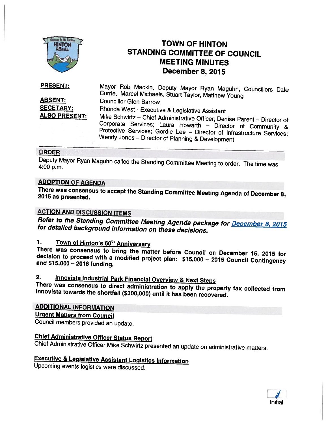

## TOWN OF HINTON STANDING COMMITTEE OF COUNCIL MEETING MINUTES December 8, 2015

ABSENT: SECETARY: **ALSO PRESENT:** Mayor Rob Mackin, Deputy Mayor Ryan Maguhn, Councillors Dale Currie, Marcel Michaels, Stuart Taylor, Matthew Young Councillor Glen Barrow Rhonda West - Executive & Legislative Assistant Corporate Services; Laura Howarth - Director of Community & Protective Services; Gordie Lee - Director of Infrastructure Services; Wendy Jones - Director of Planning & Development PRESENT:

### ORDER

Deputy Mayor Ryan Maguhn called the Standing Committee Meeting to order. The time was<br>4:00 p.m.

## ADOPTION OF AGENDA

There was consensus to accept the Standing Committee Meeting Agenda of December 8, <sup>2075</sup> as presented.

## ACTION AND DISCUSSION ITEMS

Refer to the Standing Committee Meeting Agenda package for **December 8, 2015**<br>for detailed background information on these decisions.

1. Town of Hinton's 60<sup>th</sup> Anniversary<br>There was consensus to bring the matter before Council on December 15, 2015 for<br>decision to proceed with a modified project plan: \$15,000 - 2015 Council Contingency<br>and \$15,000 - 2016

## 2. Innovista Industrial Park Financial Overview & Next Steps

Innovista towards the shortfall (\$300,000) until it has been recovered. There was consensus to direct administration to apply the property tax collected from

## ADDITIONAL INFORMATION

Urgent Matters from Council

Council members provided an update.

Chief Administrative Officer Status Report<br>Chief Administrative Officer Mike Schwirtz presented an update on administrative matters.

# **Executive & Legislative Assistant Logistics Information Upcoming events logistics were discussed.**